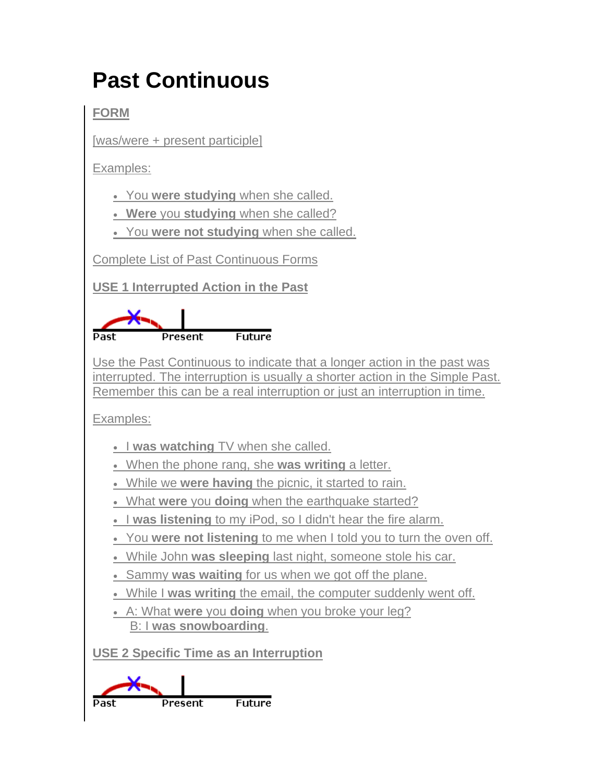# **Past Continuous**

**FORM**

[was/were + present participle]

Examples:

You **were studying** when she called.

**Were** you **studying** when she called?

You **were not studying** when she called.

Complete List of Past Continuous Forms

**USE 1 Interrupted Action in the Past**



Use the Past Continuous to indicate that a longer action in the past was interrupted. The interruption is usually a shorter action in the Simple Past. Remember this can be a real interruption or just an interruption in time.

Examples:

- **I was watching** TV when she called.
- When the phone rang, she **was writing** a letter.
- While we **were having** the picnic, it started to rain.
- What **were** you **doing** when the earthquake started?
- **I was listening** to my iPod, so I didn't hear the fire alarm.
- You **were not listening** to me when I told you to turn the oven off.
- While John **was sleeping** last night, someone stole his car.
- Sammy **was waiting** for us when we got off the plane.
- While I **was writing** the email, the computer suddenly went off.
- A: What **were** you **doing** when you broke your leg? B: I **was snowboarding**.

**USE 2 Specific Time as an Interruption**

**Future** Past Present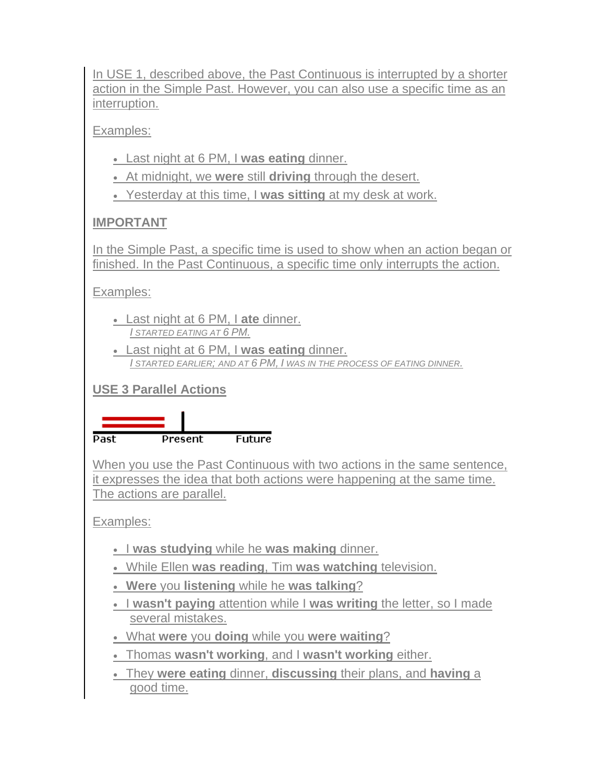In USE 1, described above, the Past Continuous is interrupted by a shorter action in the Simple Past. However, you can also use a specific time as an interruption.

Examples:

- Last night at 6 PM, I **was eating** dinner.
- At midnight, we **were** still **driving** through the desert.
- Yesterday at this time, I **was sitting** at my desk at work.

### **IMPORTANT**

In the Simple Past, a specific time is used to show when an action began or finished. In the Past Continuous, a specific time only interrupts the action.

Examples:

- Last night at 6 PM, I **ate** dinner. *I STARTED EATING AT 6 PM.*
- Last night at 6 PM, I **was eating** dinner. *I STARTED EARLIER; AND AT 6 PM, I WAS IN THE PROCESS OF EATING DINNER.*

**USE 3 Parallel Actions**



When you use the Past Continuous with two actions in the same sentence, it expresses the idea that both actions were happening at the same time. The actions are parallel.

Examples:

- **I was studying** while he was making dinner.
- While Ellen **was reading**, Tim **was watching** television.
- **Were** you **listening** while he **was talking**?
- I **wasn't paying** attention while I **was writing** the letter, so I made several mistakes.
- What **were** you **doing** while you **were waiting**?
- Thomas **wasn't working**, and I **wasn't working** either.
- They **were eating** dinner, **discussing** their plans, and **having** a good time.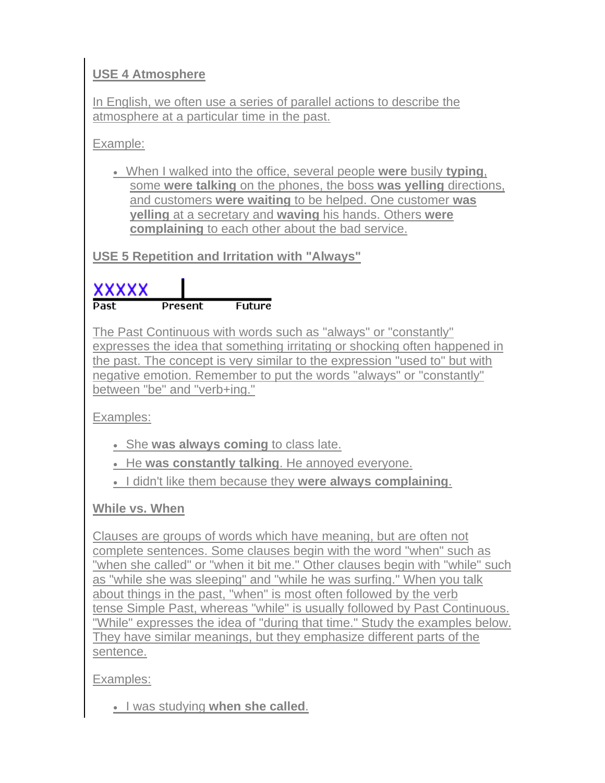# **USE 4 Atmosphere**

In English, we often use a series of parallel actions to describe the atmosphere at a particular time in the past.

Example:

 When I walked into the office, several people **were** busily **typing**, some **were talking** on the phones, the boss **was yelling** directions, and customers **were waiting** to be helped. One customer **was yelling** at a secretary and **waving** his hands. Others **were complaining** to each other about the bad service.

**USE 5 Repetition and Irritation with "Always"**

# xxxxx **Future**

The Past Continuous with words such as "always" or "constantly" expresses the idea that something irritating or shocking often happened in the past. The concept is very similar to the expression "used to" but with negative emotion. Remember to put the words "always" or "constantly" between "be" and "verb+ing."

Examples:

- She **was always coming** to class late.
- He **was constantly talking**. He annoyed everyone.
- I didn't like them because they **were always complaining**.

**While vs. When**

Clauses are groups of words which have meaning, but are often not complete sentences. Some clauses begin with the word "when" such as "when she called" or "when it bit me." Other clauses begin with "while" such as "while she was sleeping" and "while he was surfing." When you talk about things in the past, "when" is most often followed by the verb tense Simple Past, whereas "while" is usually followed by Past Continuous. "While" expresses the idea of "during that time." Study the examples below. They have similar meanings, but they emphasize different parts of the sentence.

Examples:

**I** was studying when she called.